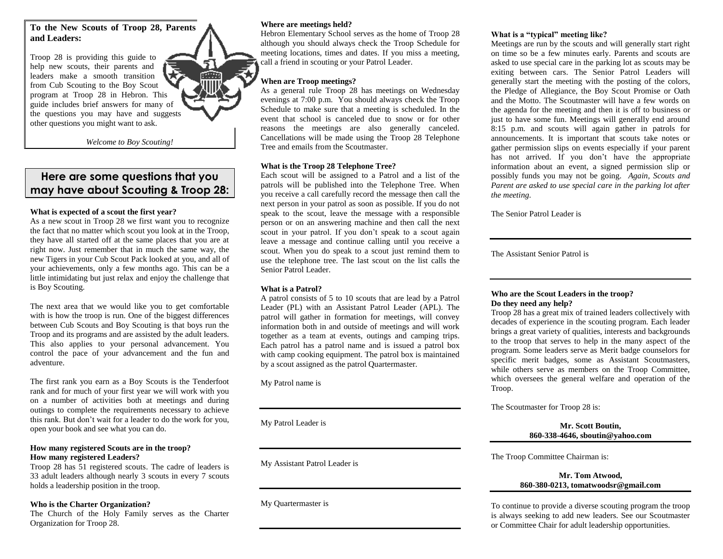**To the New Scouts of Troop 28, Parents and Leaders:**

Troop 28 is providing this guide to help new scouts, their parents and leaders make a smooth transition from Cub Scouting to the Boy Scout program at Troop 28 in Hebron. This guide includes brief answers for many of the questions you may have and suggests other questions you might want to ask.

*Welcome to Boy Scouting!*

# **Here are some questions that you may have about Scouting & Troop 28:**

# **What is expected of a scout the first year?**

As a new scout in Troop 28 we first want you to recognize the fact that no matter which scout you look at in the Troop, they have all started off at the same places that you are at right now. Just remember that in much the same way, the new Tigers in your Cub Scout Pack looked at you, and all of your achievements, only a few months ago. This can be a little intimidating but just relax and enjoy the challenge that is Boy Scouting.

The next area that we would like you to get comfortable with is how the troop is run. One of the biggest differences between Cub Scouts and Boy Scouting is that boys run the Troop and its programs and are assisted by the adult leaders. This also applies to your personal advancement. You control the pace of your advancement and the fun and adventure.

The first rank you earn as a Boy Scouts is the Tenderfoot rank and for much of your first year we will work with you on a number of activities both at meetings and during outings to complete the requirements necessary to achieve this rank. But don't wait for a leader to do the work for you, open your book and see what you can do.

#### **How many registered Scouts are in the troop? How many registered Leaders?**

Troop 28 has 51 registered scouts. The cadre of leaders is 33 adult leaders although nearly 3 scouts in every 7 scouts holds a leadership position in the troop.

#### **Who is the Charter Organization?**

The Church of the Holy Family serves as the Charter Organization for Troop 28.

#### **Where are meetings held?**

Hebron Elementary School serves as the home of Troop 28 although you should always check the Troop Schedule for meeting locations, times and dates. If you miss a meeting, call a friend in scouting or your Patrol Leader.

# **When are Troop meetings?**

As a general rule Troop 28 has meetings on Wednesday evenings at 7:00 p.m. You should always check the Troop Schedule to make sure that a meeting is scheduled. In the event that school is canceled due to snow or for other reasons the meetings are also generally canceled. Cancellations will be made using the Troop 28 Telephone Tree and emails from the Scoutmaster.

### **What is the Troop 28 Telephone Tree?**

Each scout will be assigned to a Patrol and a list of the patrols will be published into the Telephone Tree. When you receive a call carefully record the message then call the next person in your patrol as soon as possible. If you do not speak to the scout, leave the message with a responsible person or on an answering machine and then call the next scout in your patrol. If you don't speak to a scout again leave a message and continue calling until you receive a scout. When you do speak to a scout just remind them to use the telephone tree. The last scout on the list calls the Senior Patrol Leader.

# **What is a Patrol?**

A patrol consists of 5 to 10 scouts that are lead by a Patrol Leader (PL) with an Assistant Patrol Leader (APL). The patrol will gather in formation for meetings, will convey information both in and outside of meetings and will work together as a team at events, outings and camping trips. Each patrol has a patrol name and is issued a patrol box with camp cooking equipment. The patrol box is maintained by a scout assigned as the patrol Quartermaster.

My Patrol name is

My Patrol Leader is

My Assistant Patrol Leader is

My Quartermaster is

# **What is a "typical" meeting like?**

Meetings are run by the scouts and will generally start right on time so be a few minutes early. Parents and scouts are asked to use special care in the parking lot as scouts may be exiting between cars. The Senior Patrol Leaders will generally start the meeting with the posting of the colors, the Pledge of Allegiance, the Boy Scout Promise or Oath and the Motto. The Scoutmaster will have a few words on the agenda for the meeting and then it is off to business or just to have some fun. Meetings will generally end around 8:15 p.m. and scouts will again gather in patrols for announcements. It is important that scouts take notes or gather permission slips on events especially if your parent has not arrived. If you don't have the appropriate information about an event, a signed permission slip or possibly funds you may not be going. *Again, Scouts and Parent are asked to use special care in the parking lot after the meeting.* 

The Senior Patrol Leader is

The Assistant Senior Patrol is

#### **Who are the Scout Leaders in the troop? Do they need any help?**

Troop 28 has a great mix of trained leaders collectively with decades of experience in the scouting program. Each leader brings a great variety of qualities, interests and backgrounds to the troop that serves to help in the many aspect of the program. Some leaders serve as Merit badge counselors for specific merit badges, some as Assistant Scoutmasters, while others serve as members on the Troop Committee, which oversees the general welfare and operation of the Troop.

The Scoutmaster for Troop 28 is:

**Mr. Scott Boutin, 860-338-4646, sboutin@yahoo.com**

The Troop Committee Chairman is:

### **Mr. Tom Atwood, 860-380-0213, tomatwoodsr@gmail.com**

To continue to provide a diverse scouting program the troop is always seeking to add new leaders. See our Scoutmaster or Committee Chair for adult leadership opportunities.